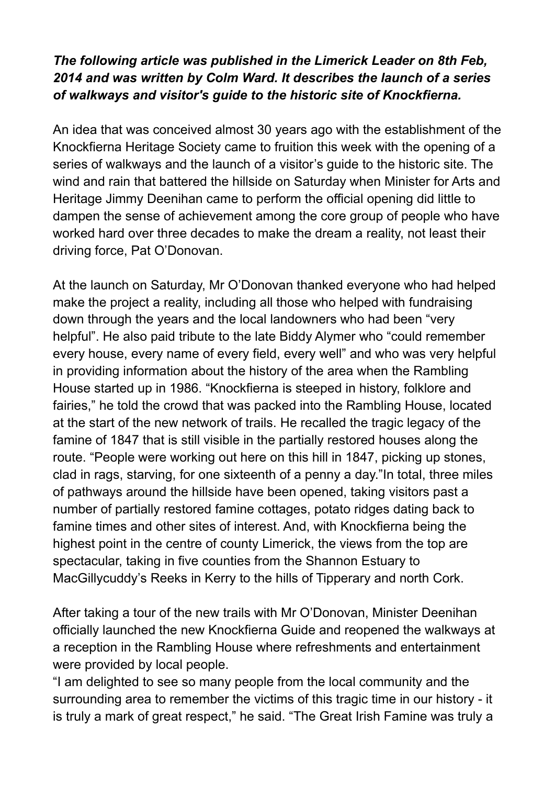## *The following article was published in the Limerick Leader on 8th Feb, 2014 and was written by Colm Ward. It describes the launch of a series of walkways and visitor's guide to the historic site of Knockfierna.*

An idea that was conceived almost 30 years ago with the establishment of the Knockfierna Heritage Society came to fruition this week with the opening of a series of walkways and the launch of a visitor's guide to the historic site. The wind and rain that battered the hillside on Saturday when Minister for Arts and Heritage Jimmy Deenihan came to perform the official opening did little to dampen the sense of achievement among the core group of people who have worked hard over three decades to make the dream a reality, not least their driving force, Pat O'Donovan.

At the launch on Saturday, Mr O'Donovan thanked everyone who had helped make the project a reality, including all those who helped with fundraising down through the years and the local landowners who had been "very helpful". He also paid tribute to the late Biddy Alymer who "could remember every house, every name of every field, every well" and who was very helpful in providing information about the history of the area when the Rambling House started up in 1986. "Knockfierna is steeped in history, folklore and fairies," he told the crowd that was packed into the Rambling House, located at the start of the new network of trails. He recalled the tragic legacy of the famine of 1847 that is still visible in the partially restored houses along the route. "People were working out here on this hill in 1847, picking up stones, clad in rags, starving, for one sixteenth of a penny a day."In total, three miles of pathways around the hillside have been opened, taking visitors past a number of partially restored famine cottages, potato ridges dating back to famine times and other sites of interest. And, with Knockfierna being the highest point in the centre of county Limerick, the views from the top are spectacular, taking in five counties from the Shannon Estuary to MacGillycuddy's Reeks in Kerry to the hills of Tipperary and north Cork.

After taking a tour of the new trails with Mr O'Donovan, Minister Deenihan officially launched the new Knockfierna Guide and reopened the walkways at a reception in the Rambling House where refreshments and entertainment were provided by local people.

"I am delighted to see so many people from the local community and the surrounding area to remember the victims of this tragic time in our history - it is truly a mark of great respect," he said. "The Great Irish Famine was truly a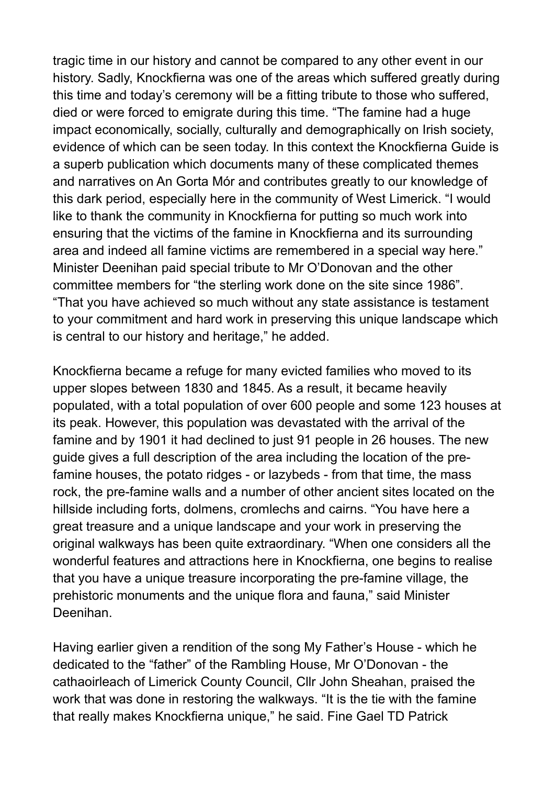tragic time in our history and cannot be compared to any other event in our history. Sadly, Knockfierna was one of the areas which suffered greatly during this time and today's ceremony will be a fitting tribute to those who suffered, died or were forced to emigrate during this time. "The famine had a huge impact economically, socially, culturally and demographically on Irish society, evidence of which can be seen today. In this context the Knockfierna Guide is a superb publication which documents many of these complicated themes and narratives on An Gorta Mór and contributes greatly to our knowledge of this dark period, especially here in the community of West Limerick. "I would like to thank the community in Knockfierna for putting so much work into ensuring that the victims of the famine in Knockfierna and its surrounding area and indeed all famine victims are remembered in a special way here." Minister Deenihan paid special tribute to Mr O'Donovan and the other committee members for "the sterling work done on the site since 1986". "That you have achieved so much without any state assistance is testament to your commitment and hard work in preserving this unique landscape which is central to our history and heritage," he added.

Knockfierna became a refuge for many evicted families who moved to its upper slopes between 1830 and 1845. As a result, it became heavily populated, with a total population of over 600 people and some 123 houses at its peak. However, this population was devastated with the arrival of the famine and by 1901 it had declined to just 91 people in 26 houses. The new guide gives a full description of the area including the location of the prefamine houses, the potato ridges - or lazybeds - from that time, the mass rock, the pre-famine walls and a number of other ancient sites located on the hillside including forts, dolmens, cromlechs and cairns. "You have here a great treasure and a unique landscape and your work in preserving the original walkways has been quite extraordinary. "When one considers all the wonderful features and attractions here in Knockfierna, one begins to realise that you have a unique treasure incorporating the pre-famine village, the prehistoric monuments and the unique flora and fauna," said Minister Deenihan.

Having earlier given a rendition of the song My Father's House - which he dedicated to the "father" of the Rambling House, Mr O'Donovan - the cathaoirleach of Limerick County Council, Cllr John Sheahan, praised the work that was done in restoring the walkways. "It is the tie with the famine that really makes Knockfierna unique," he said. Fine Gael TD Patrick